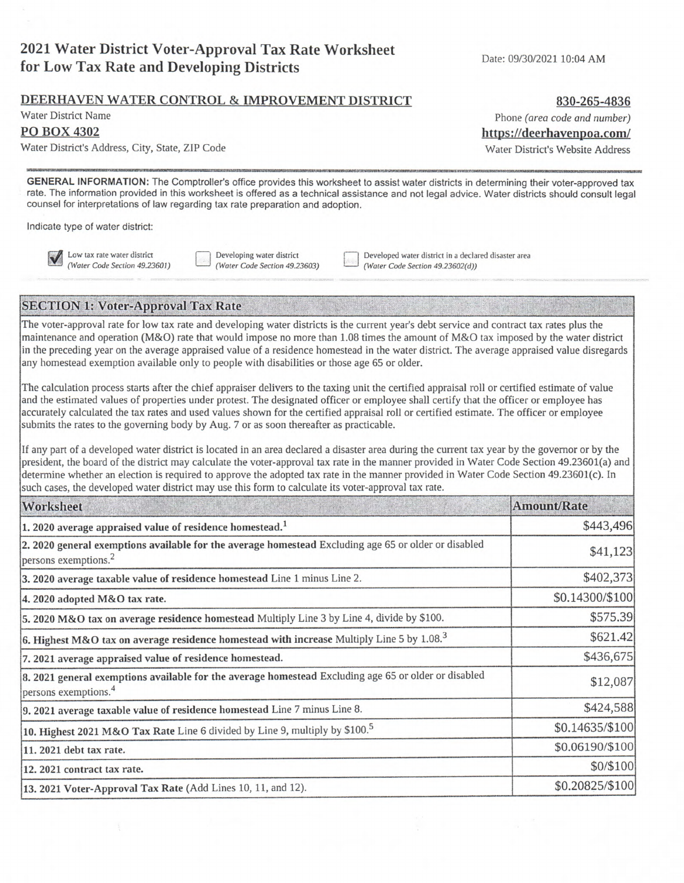# **2021 Water District Voter-Approval Tax Rate Worksheet for Low Tax Rate and Developing Districts**

#### Date: 09/30/2021 10:04 AM

## **DEERHAVEN WATER CONTROL** & **IMPROVEMENT DISTRICT**

Water District Name

## **P0 BOX 4302**

Water District's Address, City, State, ZIP Code

**GENERAL INFORMATION:** The Comptroller's office provides this worksheet to assist water districts in determining their voter-approved tax rate. The information provided in this worksheet is offered as a technical assistance and not legal advice. Water districts should consult legal counsel for interpretations of law regarding tax rate preparation and adoption.

Indicate type of water district:

**M** Low tax rate water district<br>(Water Code Section 49.23601)

Developing water district (Water Code Section 49.23603) Developed water district in a declared disaster area (Water Code Section 49.23602(d))

## **SECTION 1: Voter-Approval Tax Rate**

The voter-approval rate for low tax rate and developing water districts is the current year's debt service and contract tax rates plus the maintenance and operation (M&O) rate that would impose no more than 1.08 times the amount of M&O tax imposed by the water district in the preceding year on the average appraised value of a residence homestead in the water district. The average appraised value disregards any homestead exemption available only to people with disabilities or those age 65 or older.

The calculation process starts after the chief appraiser delivers to the taxing unit the certified appraisal roll or certified estimate of value and the estimated values of properties under protest. The designated officer or employee shall certify that the officer or employee has accurately calculated the tax rates and used values shown for the certified appraisal roll or certified estimate. The officer or employee submits the rates to the governing body by Aug. 7 or as soon thereafter as practicable.

If any part of a developed water district is located in an area declared a disaster area during the current tax year by the governor or by the president, the board of the district may calculate the voter-approval tax rate in the manner provided in Water Code Section 49.23601(a) and determine whether an election is required to approve the adopted tax rate in the manner provided in Water Code Section 49.23601(c). In such cases, the developed water district may use this form to calculate its voter-approval tax rate.

| Worksheet                                                                                                                                | Amount/Rate     |
|------------------------------------------------------------------------------------------------------------------------------------------|-----------------|
| 1.2020 average appraised value of residence homestead. <sup>1</sup>                                                                      | \$443,496       |
| 2. 2020 general exemptions available for the average homestead Excluding age 65 or older or disabled<br>persons exemptions. <sup>2</sup> | \$41,123        |
| 3. 2020 average taxable value of residence homestead Line 1 minus Line 2.                                                                | \$402,373       |
| 4. 2020 adopted M&O tax rate.                                                                                                            | \$0.14300/\$100 |
| 5. 2020 M&O tax on average residence homestead Multiply Line 3 by Line 4, divide by \$100.                                               | \$575.39        |
| 6. Highest M&O tax on average residence homestead with increase Multiply Line 5 by $1.083$                                               | \$621.42        |
| 7. 2021 average appraised value of residence homestead.                                                                                  | \$436,675       |
| 8. 2021 general exemptions available for the average homestead Excluding age 65 or older or disabled<br>persons exemptions. <sup>4</sup> | \$12,087        |
| [9. 2021 average taxable value of residence homestead Line 7 minus Line 8.                                                               | \$424,588       |
| 10. Highest 2021 M&O Tax Rate Line 6 divided by Line 9, multiply by \$100. <sup>5</sup>                                                  | \$0.14635/\$100 |
| 11. 2021 debt tax rate.                                                                                                                  | \$0.06190/\$100 |
| 12. 2021 contract tax rate.                                                                                                              | \$0/\$100       |
| 13. 2021 Voter-Approval Tax Rate (Add Lines 10, 11, and 12).                                                                             | \$0.20825/\$100 |

**830-265-4836**  Phone (area code and number)

https://deerhavenpoa.com/

Water District's Website Address